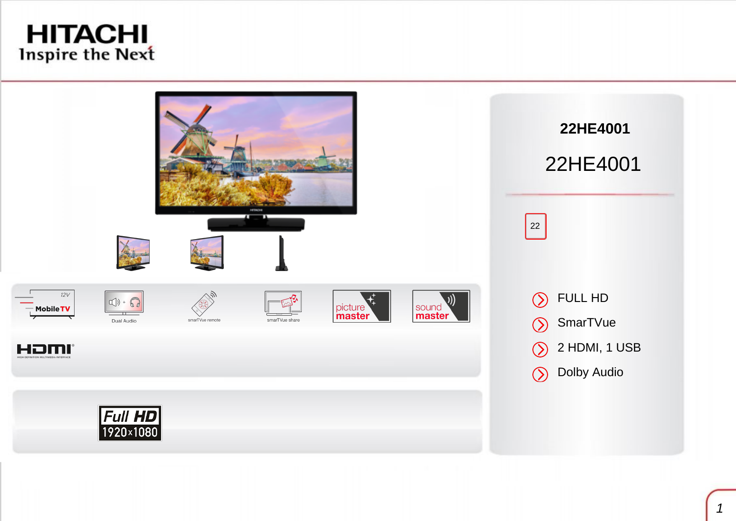# **HITACHI** Inspire the Next

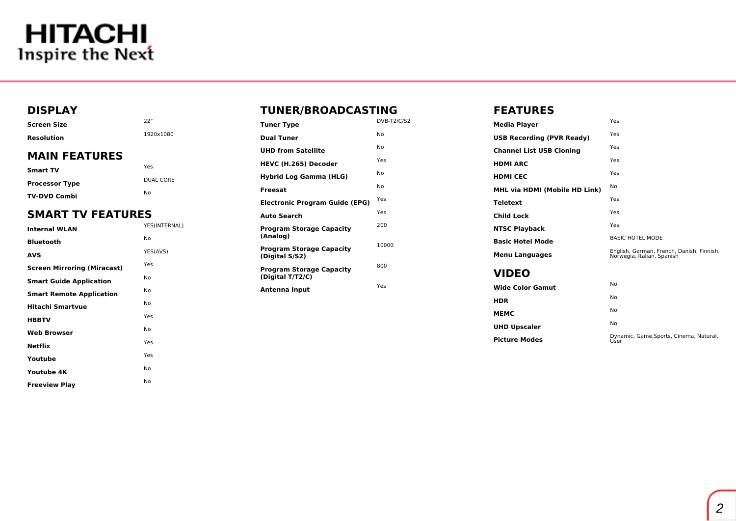# **HITACHI**<br>Inspire the Next

### **DISPLAY**

| Screen Size       | -22"      |
|-------------------|-----------|
| <b>Resolution</b> | 1920x1080 |
| MAIN FEATHDEC     |           |

### **MAIN FEATURES**

| Smart TV              | Yes       |
|-----------------------|-----------|
| <b>Processor Type</b> | DUAL CORE |
| <b>TV-DVD Combi</b>   | Nο        |

## **SMART TV FEATURES**

| <b>Internal WLAN</b>               | YES(INTERNAL) |
|------------------------------------|---------------|
| Bluetooth                          | No            |
| AVS                                | YES(AVS)      |
| <b>Screen Mirroring (Miracast)</b> | Yes           |
| <b>Smart Guide Application</b>     | No            |
| <b>Smart Remote Application</b>    | No            |
| Hitachi Smartvue                   | No            |
| <b>HBBTV</b>                       | Yes           |
| <b>Web Browser</b>                 | No            |
| Netflix                            | Yes           |
| Youtube                            | Yes           |
| Youtube 4K                         | No            |
| <b>Freeview Play</b>               | No            |
|                                    |               |

### **TUNER/BROADCASTING**

| <b>Tuner Type</b>                                   | DVB-T2/C/S2 |
|-----------------------------------------------------|-------------|
| <b>Dual Tuner</b>                                   | No          |
| <b>UHD from Satellite</b>                           | No          |
| <b>HEVC (H.265) Decoder</b>                         | Yes         |
| <b>Hybrid Log Gamma (HLG)</b>                       | No          |
| <b>Freesat</b>                                      | No          |
| <b>Electronic Program Guide (EPG)</b>               | Yes         |
| <b>Auto Search</b>                                  | Yes         |
| <b>Program Storage Capacity</b><br>(Analog)         | 200         |
| <b>Program Storage Capacity</b><br>(Digital S/S2)   | 10000       |
| <b>Program Storage Capacity</b><br>(Digital T/T2/C) | 800         |
| Antenna Input                                       | Yes         |

#### **FEATURES**

| Media Player                     | Yes                                                                     |
|----------------------------------|-------------------------------------------------------------------------|
| <b>USB Recording (PVR Ready)</b> | Yes                                                                     |
| <b>Channel List USB Cloning</b>  | Yes                                                                     |
| HDMI ARC                         | Yes                                                                     |
| <b>HDMI CEC</b>                  | Yes                                                                     |
| MHL via HDMI (Mobile HD Link)    | No                                                                      |
| Teletext                         | Yes                                                                     |
| Child Lock                       | Yes                                                                     |
| <b>NTSC Playback</b>             | Yes                                                                     |
| <b>Basic Hotel Mode</b>          | <b>BASIC HOTEL MODE</b>                                                 |
| <b>Menu Languages</b>            | English, German, French, Danish, Finnish,<br>Norwegia, Italian, Spanish |
| VIDEO                            |                                                                         |
| Wide Color Gamut                 | No                                                                      |
|                                  | No.                                                                     |

| <b>HDR</b>          | No |
|---------------------|----|
| МЕМС                | No |
| <b>UHD Upscaler</b> | No |

**Picture Modes Dynamic, Game, Sports, Cinema, Natural,** User